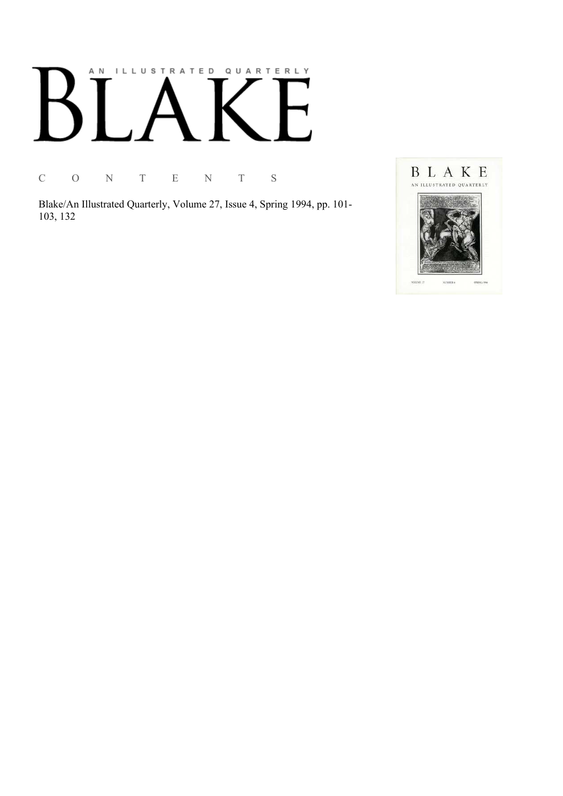## AN ILLUSTRATED QUARTERLY

C O N T E N T S

Blake/An Illustrated Quarterly, Volume 27, Issue 4, Spring 1994, pp. 101-103, 132

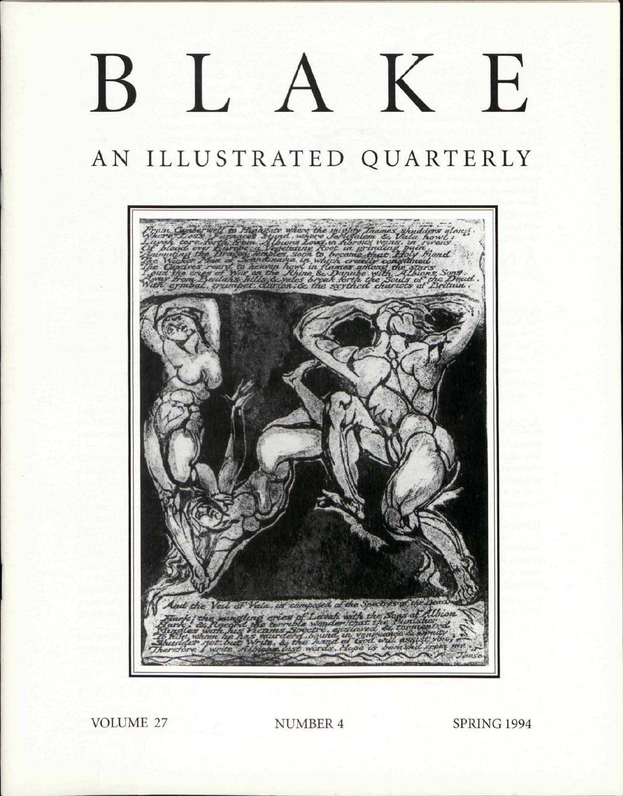# BLAKE

### AN ILLUSTRATED QUARTERLY



**VOLUME 27** 

**NUMBER 4** 

**SPRING 1994**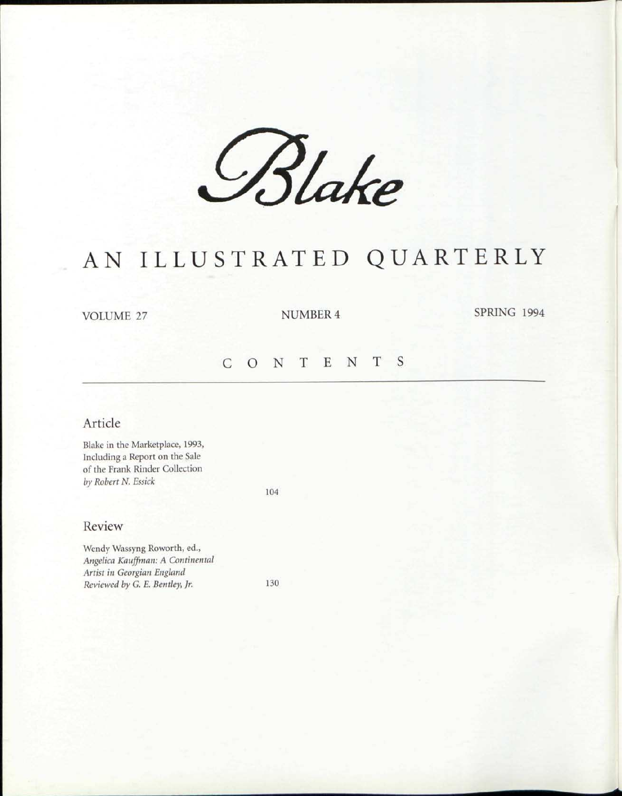*&Uk e* 

## AN ILLUSTRATED QUARTERLY

VOLUME 27 NUMBER 4 SPRING 1994

#### CONTENT S

#### Article

Blake in the Marketplace, 1993, Including a Report on the Sale of the Frank Rinder Collection *by Robert N. Essick* 

104

#### Review

Wendy Wassyng Roworth, ed., *Angelica Kauffman: A Continental Artist in Georgian England Reviewed by G. E. Bentley, Jr.* 130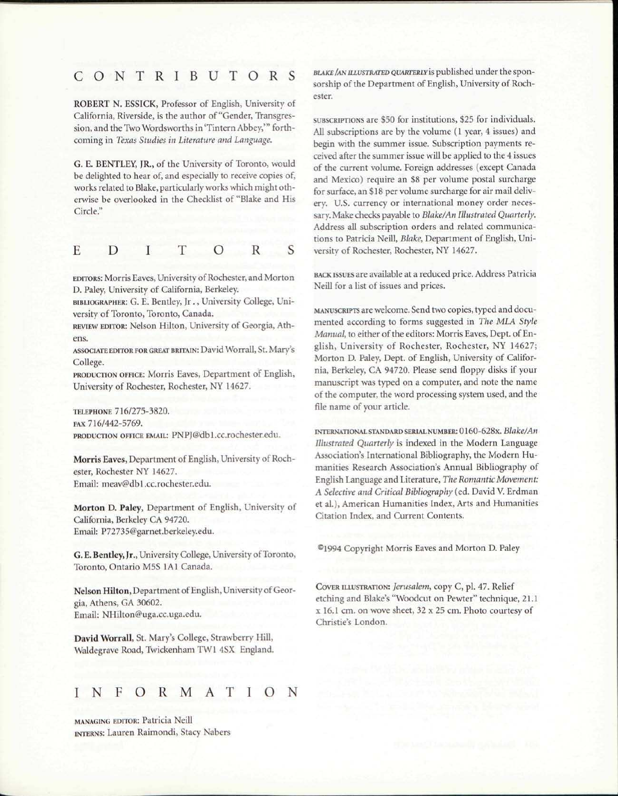#### CONTRIBUTOR S

ROBERT N. ESSICK, Professor of English, University of California, Riverside, is the author of "Gender, Transgression, and the Two Wordsworths in 'Tintern Abbey,"' forthcoming in *Texas Studies in Literature and Language.* 

G. E. BENTLEY, JR., of the University of Toronto, would be delighted to hear of, and especially to receive copies of, works related to Blake, particularly works which might otherwise be overlooked in the Checklist of "Blake and His Circle."

$$
E \quad D \quad I \quad T \quad O \quad R \quad S
$$

EDITORS: Morris Eaves, University of Rochester, and Morton D. Paley, University of California, Berkeley.

BIBLIOGRAPHER: G. E. Bentley, Jr., University College, University of Toronto, Toronto, Canada.

REVIEW EDITOR: Nelson Hilton, University of Georgia, Athens.

ASSOCIATE EDITOR FOR GREAT BRITAIN: David Worrall, St. Mary's College.

PRODUCTION OFFICE: Morris Eaves, Department of English, University of Rochester, Rochester, NY 14627.

TELEPHONE 716/275-3820. FAX 716/442-5769. PRODUCTION OFFICE EMAIL: PNPJ@db1.cc.rochester.edu.

Morris Eaves, Department of English, University of Rochester, Rochester NY 14627. Email: meav@db1.cc.rochester.edu.

Morton D. Paley, Department of English, University of California, Berkeley CA 94720. Email: P72735@garnet.berkeley.edu.

G. E. Bentley, Jr., University College, University of Toronto, Toronto, Ontario M5S 1A1 Canada.

Nelson Hilton, Department of English, University of Georgia, Athens, GA 30602. Email: NHilton@uga.cc.uga.edu.

David Worrall, St. Mary's College, Strawberry Hill, Waldegrave Road, Twickenham TW1 4SX England.

#### INFORMATIO

MANAGING EDITOR: Patricia Neill INTERNS: Lauren Raimondi, Stacy Nabers *BLAKE /AN ILLUSTRATED QUARTERLY* is published under the sponsorship of the Department of English, University of Rochester.

SUBSCRIPTIONS are \$50 for institutions, \$25 for individuals. All subscriptions are by the volume (1 year, 4 issues) and begin with the summer issue. Subscription payments received after the summer issue will be applied to the 4 issues of the current volume. Foreign addresses (except Canada and Mexico) require an \$8 per volume postal surcharge for surface, an \$18 per volume surcharge for air mail delivery. U.S. currency or international money order necessary. Make checks payable to *Blake/An Illustrated Quarterly.*  Address all subscription orders and related communications to Patricia Neill, *Blake,* Department of English, University of Rochester, Rochester, NY 14627.

BACK ISSUES are available at a reduced price. Address Patricia Neill for a list of issues and prices.

MANUSCRIPTS are welcome. Send two copies, typed and documented according to forms suggested in *The MLA Style Manual,* to either of the editors: Morris Eaves, Dept. of English, University of Rochester, Rochester, NY 14627; Morton D. Paley, Dept. of English, University of California, Berkeley, CA 94720. Please send floppy disks if your manuscript was typed on a computer, and note the name of the computer, the word processing system used, and the file name of your article.

INTERNATIONAL STANDARD SERIAL NUMBER: 0160-628x. *Blake/An Illustrated Quarterly* is indexed in the Modern Language Association's International Bibliography, the Modern Humanities Research Association's Annual Bibliography of English Language and Literature, *The Romantic Movement: A Selective and Critical Bibliography* (ed. David V. Erdman et al.), American Humanities Index, Arts and Humanities Citation Index, and Current Contents.

®1994 Copyright Morris Eaves and Morton D. Paley

COVER ILLUSTRATION: *Jerusalem,* copy C, pi. 47. Relief etching and Blake's "Woodcut on Pewter" technique, 21.1 x 16.1 cm. on wove sheet, 32 x 25 cm. Photo courtesy of Christie's London.